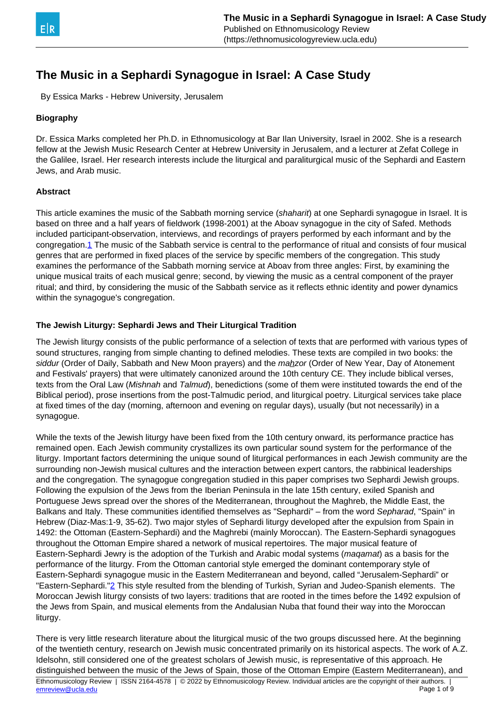<span id="page-0-0"></span>

By Essica Marks - Hebrew University, Jerusalem

# **Biography**

Dr. Essica Marks completed her Ph.D. in Ethnomusicology at Bar Ilan University, Israel in 2002. She is a research fellow at the Jewish Music Research Center at Hebrew University in Jerusalem, and a lecturer at Zefat College in the Galilee, Israel. Her research interests include the liturgical and paraliturgical music of the Sephardi and Eastern Jews, and Arab music.

## **Abstract**

This article examines the music of the Sabbath morning service (shaharit) at one Sephardi synagogue in Israel. It is based on three and a half years of fieldwork (1998-2001) at the Aboav synagogue in the city of Safed. Methods included participant-observation, interviews, and recordings of prayers performed by each informant and by the congregation[.1](#page-0-0) The music of the Sabbath service is central to the performance of ritual and consists of four musical genres that are performed in fixed places of the service by specific members of the congregation. This study examines the performance of the Sabbath morning service at Aboav from three angles: First, by examining the unique musical traits of each musical genre; second, by viewing the music as a central component of the prayer ritual; and third, by considering the music of the Sabbath service as it reflects ethnic identity and power dynamics within the synagogue's congregation.

## **The Jewish Liturgy: Sephardi Jews and Their Liturgical Tradition**

The Jewish liturgy consists of the public performance of a selection of texts that are performed with various types of sound structures, ranging from simple chanting to defined melodies. These texts are compiled in two books: the siddur (Order of Daily, Sabbath and New Moon prayers) and the mahzor (Order of New Year, Day of Atonement and Festivals' prayers) that were ultimately canonized around the 10th century CE. They include biblical verses, texts from the Oral Law (Mishnah and Talmud), benedictions (some of them were instituted towards the end of the Biblical period), prose insertions from the post-Talmudic period, and liturgical poetry. Liturgical services take place at fixed times of the day (morning, afternoon and evening on regular days), usually (but not necessarily) in a synagogue.

While the texts of the Jewish liturgy have been fixed from the 10th century onward, its performance practice has remained open. Each Jewish community crystallizes its own particular sound system for the performance of the liturgy. Important factors determining the unique sound of liturgical performances in each Jewish community are the surrounding non-Jewish musical cultures and the interaction between expert cantors, the rabbinical leaderships and the congregation. The synagogue congregation studied in this paper comprises two Sephardi Jewish groups. Following the expulsion of the Jews from the Iberian Peninsula in the late 15th century, exiled Spanish and Portuguese Jews spread over the shores of the Mediterranean, throughout the Maghreb, the Middle East, the Balkans and Italy. These communities identified themselves as "Sephardi" – from the word Sepharad, "Spain" in Hebrew (Diaz-Mas:1-9, 35-62). Two major styles of Sephardi liturgy developed after the expulsion from Spain in 1492: the Ottoman (Eastern-Sephardi) and the Maghrebi (mainly Moroccan). The Eastern-Sephardi synagogues throughout the Ottoman Empire shared a network of musical repertoires. The major musical feature of Eastern-Sephardi Jewry is the adoption of the Turkish and Arabic modal systems (*magamat*) as a basis for the performance of the liturgy. From the Ottoman cantorial style emerged the dominant contemporary style of Eastern-Sephardi synagogue music in the Eastern Mediterranean and beyond, called "Jerusalem-Sephardi" or "Eastern-Sephardi.["2](#page-0-0) This style resulted from the blending of Turkish, Syrian and Judeo-Spanish elements. The Moroccan Jewish liturgy consists of two layers: traditions that are rooted in the times before the 1492 expulsion of the Jews from Spain, and musical elements from the Andalusian Nuba that found their way into the Moroccan liturgy.

There is very little research literature about the liturgical music of the two groups discussed here. At the beginning of the twentieth century, research on Jewish music concentrated primarily on its historical aspects. The work of A.Z. Idelsohn, still considered one of the greatest scholars of Jewish music, is representative of this approach. He distinguished between the music of the Jews of Spain, those of the Ottoman Empire (Eastern Mediterranean), and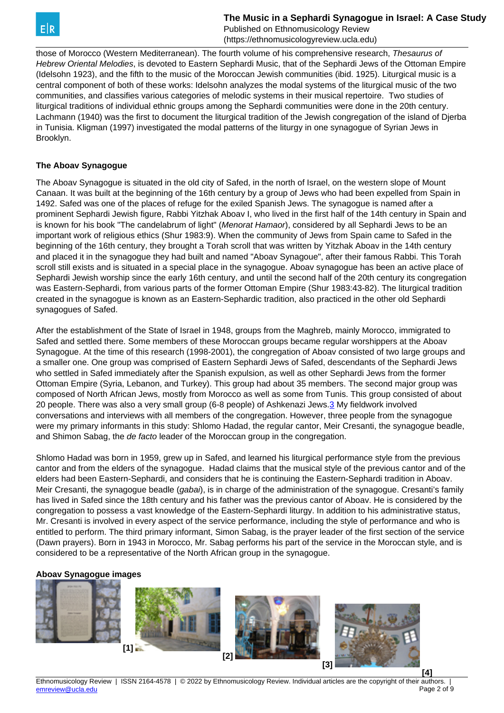<span id="page-1-0"></span>

Published on Ethnomusicology Review (https://ethnomusicologyreview.ucla.edu)

those of Morocco (Western Mediterranean). The fourth volume of his comprehensive research, Thesaurus of Hebrew Oriental Melodies, is devoted to Eastern Sephardi Music, that of the Sephardi Jews of the Ottoman Empire (Idelsohn 1923), and the fifth to the music of the Moroccan Jewish communities (ibid. 1925). Liturgical music is a central component of both of these works: Idelsohn analyzes the modal systems of the liturgical music of the two communities, and classifies various categories of melodic systems in their musical repertoire. Two studies of liturgical traditions of individual ethnic groups among the Sephardi communities were done in the 20th century. Lachmann (1940) was the first to document the liturgical tradition of the Jewish congregation of the island of Djerba in Tunisia. Kligman (1997) investigated the modal patterns of the liturgy in one synagogue of Syrian Jews in Brooklyn.

## **The Aboav Synagogue**

The Aboav Synagogue is situated in the old city of Safed, in the north of Israel, on the western slope of Mount Canaan. It was built at the beginning of the 16th century by a group of Jews who had been expelled from Spain in 1492. Safed was one of the places of refuge for the exiled Spanish Jews. The synagogue is named after a prominent Sephardi Jewish figure, Rabbi Yitzhak Aboav I, who lived in the first half of the 14th century in Spain and is known for his book "The candelabrum of light" (Menorat Hamaor), considered by all Sephardi Jews to be an important work of religious ethics (Shur 1983:9). When the community of Jews from Spain came to Safed in the beginning of the 16th century, they brought a Torah scroll that was written by Yitzhak Aboav in the 14th century and placed it in the synagogue they had built and named "Aboav Synagoue", after their famous Rabbi. This Torah scroll still exists and is situated in a special place in the synagogue. Aboav synagogue has been an active place of Sephardi Jewish worship since the early 16th century, and until the second half of the 20th century its congregation was Eastern-Sephardi, from various parts of the former Ottoman Empire (Shur 1983:43-82). The liturgical tradition created in the synagogue is known as an Eastern-Sephardic tradition, also practiced in the other old Sephardi synagogues of Safed.

After the establishment of the State of Israel in 1948, groups from the Maghreb, mainly Morocco, immigrated to Safed and settled there. Some members of these Moroccan groups became regular worshippers at the Aboav Synagogue. At the time of this research (1998-2001), the congregation of Aboav consisted of two large groups and a smaller one. One group was comprised of Eastern Sephardi Jews of Safed, descendants of the Sephardi Jews who settled in Safed immediately after the Spanish expulsion, as well as other Sephardi Jews from the former Ottoman Empire (Syria, Lebanon, and Turkey). This group had about 35 members. The second major group was composed of North African Jews, mostly from Morocco as well as some from Tunis. This group consisted of about 20 people. There was also a very small group (6-8 people) of Ashkenazi Jews[.3](#page-1-0) My fieldwork involved conversations and interviews with all members of the congregation. However, three people from the synagogue were my primary informants in this study: Shlomo Hadad, the regular cantor, Meir Cresanti, the synagogue beadle, and Shimon Sabag, the de facto leader of the Moroccan group in the congregation.

Shlomo Hadad was born in 1959, grew up in Safed, and learned his liturgical performance style from the previous cantor and from the elders of the synagogue. Hadad claims that the musical style of the previous cantor and of the elders had been Eastern-Sephardi, and considers that he is continuing the Eastern-Sephardi tradition in Aboav. Meir Cresanti, the synagogue beadle (*gabai*), is in charge of the administration of the synagogue. Cresanti's family has lived in Safed since the 18th century and his father was the previous cantor of Aboav. He is considered by the congregation to possess a vast knowledge of the Eastern-Sephardi liturgy. In addition to his administrative status, Mr. Cresanti is involved in every aspect of the service performance, including the style of performance and who is entitled to perform. The third primary informant, Simon Sabag, is the prayer leader of the first section of the service (Dawn prayers). Born in 1943 in Morocco, Mr. Sabag performs his part of the service in the Moroccan style, and is considered to be a representative of the North African group in the synagogue.

## **Aboav Synagogue images**



Ethnomusicology Review | ISSN 2164-4578 | © 2022 by Ethnomusicology Review. Individual articles are the copyright of their authors. [emreview@ucla.edu](mailto:emreview@ucla.edu) Page 2 of 9

**[4]**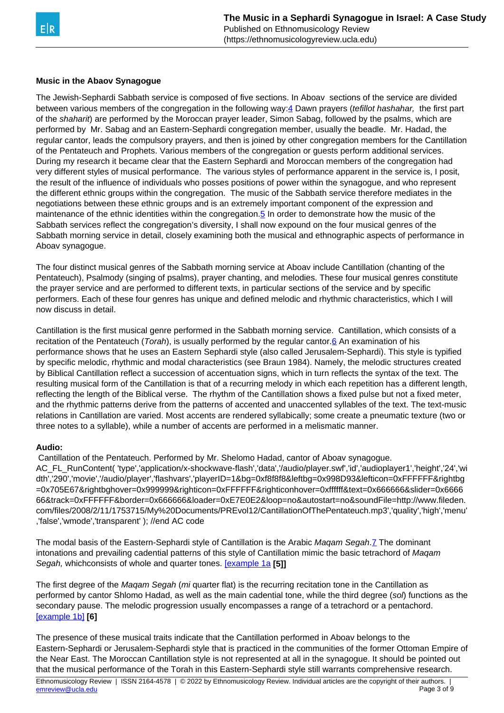<span id="page-2-0"></span>

## **Music in the Abaov Synagogue**

The Jewish-Sephardi Sabbath service is composed of five sections. In Aboav sections of the service are divided between various members of the congregation in the following way: 4 Dawn prayers (*tefillot hashahar*, the first part of the *shaharit*) are performed by the Moroccan prayer leader, Simon Sabag, followed by the psalms, which are performed by Mr. Sabag and an Eastern-Sephardi congregation member, usually the beadle. Mr. Hadad, the regular cantor, leads the compulsory prayers, and then is joined by other congregation members for the Cantillation of the Pentateuch and Prophets. Various members of the congregation or guests perform additional services. During my research it became clear that the Eastern Sephardi and Moroccan members of the congregation had very different styles of musical performance. The various styles of performance apparent in the service is, I posit, the result of the influence of individuals who posses positions of power within the synagogue, and who represent the different ethnic groups within the congregation. The music of the Sabbath service therefore mediates in the negotiations between these ethnic groups and is an extremely important component of the expression and maintenance of the ethnic identities within the congregation.[5](#page-2-0) In order to demonstrate how the music of the Sabbath services reflect the congregation's diversity, I shall now expound on the four musical genres of the Sabbath morning service in detail, closely examining both the musical and ethnographic aspects of performance in Aboav synagogue.

The four distinct musical genres of the Sabbath morning service at Aboav include Cantillation (chanting of the Pentateuch), Psalmody (singing of psalms), prayer chanting, and melodies. These four musical genres constitute the prayer service and are performed to different texts, in particular sections of the service and by specific performers. Each of these four genres has unique and defined melodic and rhythmic characteristics, which I will now discuss in detail.

Cantillation is the first musical genre performed in the Sabbath morning service. Cantillation, which consists of a recitation of the Pentateuch (Torah), is usually performed by the regular cantor. $6$  An examination of his performance shows that he uses an Eastern Sephardi style (also called Jerusalem-Sephardi). This style is typified by specific melodic, rhythmic and modal characteristics (see Braun 1984). Namely, the melodic structures created by Biblical Cantillation reflect a succession of accentuation signs, which in turn reflects the syntax of the text. The resulting musical form of the Cantillation is that of a recurring melody in which each repetition has a different length, reflecting the length of the Biblical verse. The rhythm of the Cantillation shows a fixed pulse but not a fixed meter, and the rhythmic patterns derive from the patterns of accented and unaccented syllables of the text. The text-music relations in Cantillation are varied. Most accents are rendered syllabically; some create a pneumatic texture (two or three notes to a syllable), while a number of accents are performed in a melismatic manner.

### **Audio:**

Cantillation of the Pentateuch. Performed by Mr. Shelomo Hadad, cantor of Aboav synagogue.

AC\_FL\_RunContent( 'type','application/x-shockwave-flash','data','/audio/player.swf','id','audioplayer1','height','24','wi dth','290','movie','/audio/player','flashvars','playerID=1&bg=0xf8f8f8&leftbg=0x998D93&lefticon=0xFFFFFF&rightbg =0x705E67&rightbghover=0x999999&righticon=0xFFFFFF&righticonhover=0xffffff&text=0x666666&slider=0x6666 66&track=0xFFFFFF&border=0x666666&loader=0xE7E0E2&loop=no&autostart=no&soundFile=http://www.fileden. com/files/2008/2/11/1753715/My%20Documents/PREvol12/CantillationOfThePentateuch.mp3','quality','high','menu' ,'false','wmode','transparent' ); //end AC code

The modal basis of the Eastern-Sephardi style of Cantillation is the Arabic Magam Segah[.7](#page-2-0) The dominant intonations and prevailing cadential patterns of this style of Cantillation mimic the basic tetrachord of Maqam Segah, whichconsists of whole and quarter tones. [\[example 1a](https://ethnomusicologyreview.ucla.edu/V12MarksEX1a.html) **[5]]**

The first degree of the Magam Segah (mi quarter flat) is the recurring recitation tone in the Cantillation as performed by cantor Shlomo Hadad, as well as the main cadential tone, while the third degree (sol) functions as the secondary pause. The melodic progression usually encompasses a range of a tetrachord or a pentachord. [\[example 1b\]](https://ethnomusicologyreview.ucla.edu/V12MarksEX1b.html) **[6]**

The presence of these musical traits indicate that the Cantillation performed in Aboav belongs to the Eastern-Sephardi or Jerusalem-Sephardi style that is practiced in the communities of the former Ottoman Empire of the Near East. The Moroccan Cantillation style is not represented at all in the synagogue. It should be pointed out that the musical performance of the Torah in this Eastern-Sephardi style still warrants comprehensive research.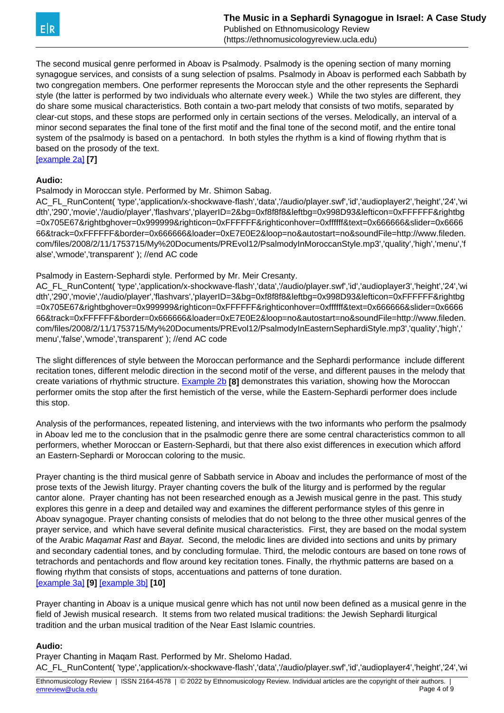

The second musical genre performed in Aboav is Psalmody. Psalmody is the opening section of many morning synagogue services, and consists of a sung selection of psalms. Psalmody in Aboav is performed each Sabbath by two congregation members. One performer represents the Moroccan style and the other represents the Sephardi style (the latter is performed by two individuals who alternate every week.) While the two styles are different, they do share some musical characteristics. Both contain a two-part melody that consists of two motifs, separated by clear-cut stops, and these stops are performed only in certain sections of the verses. Melodically, an interval of a minor second separates the final tone of the first motif and the final tone of the second motif, and the entire tonal system of the psalmody is based on a pentachord. In both styles the rhythm is a kind of flowing rhythm that is based on the prosody of the text.

[\[example 2a\]](https://ethnomusicologyreview.ucla.edu/V12MarksEX2a.html) **[7]**

### **Audio:**

Psalmody in Moroccan style. Performed by Mr. Shimon Sabag.

AC\_FL\_RunContent( 'type','application/x-shockwave-flash','data','/audio/player.swf','id','audioplayer2','height','24','wi dth','290','movie','/audio/player','flashvars','playerID=2&bg=0xf8f8f8&leftbg=0x998D93&lefticon=0xFFFFFF&rightbg =0x705E67&rightbghover=0x999999&righticon=0xFFFFFF&righticonhover=0xffffff&text=0x666666&slider=0x6666 66&track=0xFFFFFF&border=0x666666&loader=0xE7E0E2&loop=no&autostart=no&soundFile=http://www.fileden. com/files/2008/2/11/1753715/My%20Documents/PREvol12/PsalmodyInMoroccanStyle.mp3','quality','high','menu','f alse','wmode','transparent' ); //end AC code

Psalmody in Eastern-Sephardi style. Performed by Mr. Meir Cresanty.

AC\_FL\_RunContent( 'type','application/x-shockwave-flash','data','/audio/player.swf','id','audioplayer3','height','24','wi dth','290','movie','/audio/player','flashvars','playerID=3&bg=0xf8f8f8&leftbg=0x998D93&lefticon=0xFFFFFF&rightbg =0x705E67&rightbghover=0x999999&righticon=0xFFFFFF&righticonhover=0xffffff&text=0x666666&slider=0x6666 66&track=0xFFFFFF&border=0x666666&loader=0xE7E0E2&loop=no&autostart=no&soundFile=http://www.fileden. com/files/2008/2/11/1753715/My%20Documents/PREvol12/PsalmodyInEasternSephardiStyle.mp3','quality','high',' menu','false','wmode','transparent' ); //end AC code

The slight differences of style between the Moroccan performance and the Sephardi performance include different recitation tones, different melodic direction in the second motif of the verse, and different pauses in the melody that create variations of rhythmic structure. [Example 2b](https://ethnomusicologyreview.ucla.edu/V12MarksEX2b.html) **[8]** demonstrates this variation, showing how the Moroccan performer omits the stop after the first hemistich of the verse, while the Eastern-Sephardi performer does include this stop.

Analysis of the performances, repeated listening, and interviews with the two informants who perform the psalmody in Aboav led me to the conclusion that in the psalmodic genre there are some central characteristics common to all performers, whether Moroccan or Eastern-Sephardi, but that there also exist differences in execution which afford an Eastern-Sephardi or Moroccan coloring to the music.

Prayer chanting is the third musical genre of Sabbath service in Aboav and includes the performance of most of the prose texts of the Jewish liturgy. Prayer chanting covers the bulk of the liturgy and is performed by the regular cantor alone. Prayer chanting has not been researched enough as a Jewish musical genre in the past. This study explores this genre in a deep and detailed way and examines the different performance styles of this genre in Aboav synagogue. Prayer chanting consists of melodies that do not belong to the three other musical genres of the prayer service, and which have several definite musical characteristics. First, they are based on the modal system of the Arabic Maqamat Rast and Bayat. Second, the melodic lines are divided into sections and units by primary and secondary cadential tones, and by concluding formulae. Third, the melodic contours are based on tone rows of tetrachords and pentachords and flow around key recitation tones. Finally, the rhythmic patterns are based on a flowing rhythm that consists of stops, accentuations and patterns of tone duration. [\[example 3a\]](https://ethnomusicologyreview.ucla.edu/V12MarksEX3a.html) **[9]** [\[example 3b\]](https://ethnomusicologyreview.ucla.edu/V12MarksEX3b.html) **[10]**

Prayer chanting in Aboav is a unique musical genre which has not until now been defined as a musical genre in the field of Jewish musical research. It stems from two related musical traditions: the Jewish Sephardi liturgical tradition and the urban musical tradition of the Near East Islamic countries.

#### **Audio:**

Prayer Chanting in Maqam Rast. Performed by Mr. Shelomo Hadad. AC\_FL\_RunContent( 'type','application/x-shockwave-flash','data','/audio/player.swf','id','audioplayer4','height','24','wi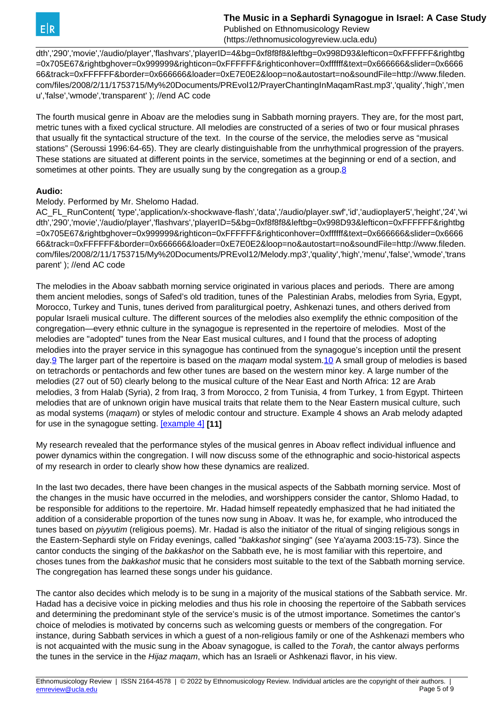Published on Ethnomusicology Review (https://ethnomusicologyreview.ucla.edu)

<span id="page-4-0"></span>dth','290','movie','/audio/player','flashvars','playerID=4&bg=0xf8f8f8&leftbg=0x998D93&lefticon=0xFFFFFF&rightbg =0x705E67&rightbghover=0x999999&righticon=0xFFFFFF&righticonhover=0xffffff&text=0x666666&slider=0x6666 66&track=0xFFFFFF&border=0x666666&loader=0xE7E0E2&loop=no&autostart=no&soundFile=http://www.fileden. com/files/2008/2/11/1753715/My%20Documents/PREvol12/PrayerChantingInMaqamRast.mp3','quality','high','men u','false','wmode','transparent' ); //end AC code

The fourth musical genre in Aboav are the melodies sung in Sabbath morning prayers. They are, for the most part, metric tunes with a fixed cyclical structure. All melodies are constructed of a series of two or four musical phrases that usually fit the syntactical structure of the text. In the course of the service, the melodies serve as "musical stations" (Seroussi 1996:64-65). They are clearly distinguishable from the unrhythmical progression of the prayers. These stations are situated at different points in the service, sometimes at the beginning or end of a section, and sometimes at other points. They are usually sung by the congregation as a group.[8](#page-4-0)

## **Audio:**

Melody. Performed by Mr. Shelomo Hadad.

AC\_FL\_RunContent( 'type','application/x-shockwave-flash','data','/audio/player.swf','id','audioplayer5','height','24','wi dth','290','movie','/audio/player','flashvars','playerID=5&bg=0xf8f8f8&leftbg=0x998D93&lefticon=0xFFFFFF&rightbg =0x705E67&rightbghover=0x999999&righticon=0xFFFFFF&righticonhover=0xffffff&text=0x666666&slider=0x6666 66&track=0xFFFFFF&border=0x666666&loader=0xE7E0E2&loop=no&autostart=no&soundFile=http://www.fileden. com/files/2008/2/11/1753715/My%20Documents/PREvol12/Melody.mp3','quality','high','menu','false','wmode','trans parent' ); //end AC code

The melodies in the Aboav sabbath morning service originated in various places and periods. There are among them ancient melodies, songs of Safed's old tradition, tunes of the Palestinian Arabs, melodies from Syria, Egypt, Morocco, Turkey and Tunis, tunes derived from paraliturgical poetry, Ashkenazi tunes, and others derived from popular Israeli musical culture. The different sources of the melodies also exemplify the ethnic composition of the congregation—every ethnic culture in the synagogue is represented in the repertoire of melodies. Most of the melodies are "adopted" tunes from the Near East musical cultures, and I found that the process of adopting melodies into the prayer service in this synagogue has continued from the synagogue's inception until the present day.<sup>9</sup> The larger part of the repertoire is based on the maqam modal system.<sup>10</sup> A small group of melodies is based on tetrachords or pentachords and few other tunes are based on the western minor key. A large number of the melodies (27 out of 50) clearly belong to the musical culture of the Near East and North Africa: 12 are Arab melodies, 3 from Halab (Syria), 2 from Iraq, 3 from Morocco, 2 from Tunisia, 4 from Turkey, 1 from Egypt. Thirteen melodies that are of unknown origin have musical traits that relate them to the Near Eastern musical culture, such as modal systems (maqam) or styles of melodic contour and structure. Example 4 shows an Arab melody adapted for use in the synagogue setting. [\[example 4\]](https://ethnomusicologyreview.ucla.edu/V12MarksEX4.html) **[11]**

My research revealed that the performance styles of the musical genres in Aboav reflect individual influence and power dynamics within the congregation. I will now discuss some of the ethnographic and socio-historical aspects of my research in order to clearly show how these dynamics are realized.

In the last two decades, there have been changes in the musical aspects of the Sabbath morning service. Most of the changes in the music have occurred in the melodies, and worshippers consider the cantor, Shlomo Hadad, to be responsible for additions to the repertoire. Mr. Hadad himself repeatedly emphasized that he had initiated the addition of a considerable proportion of the tunes now sung in Aboav. It was he, for example, who introduced the tunes based on *piyyutim* (religious poems). Mr. Hadad is also the initiator of the ritual of singing religious songs in the Eastern-Sephardi style on Friday evenings, called "bakkashot singing" (see Ya'ayama 2003:15-73). Since the cantor conducts the singing of the bakkashot on the Sabbath eve, he is most familiar with this repertoire, and choses tunes from the bakkashot music that he considers most suitable to the text of the Sabbath morning service. The congregation has learned these songs under his guidance.

The cantor also decides which melody is to be sung in a majority of the musical stations of the Sabbath service. Mr. Hadad has a decisive voice in picking melodies and thus his role in choosing the repertoire of the Sabbath services and determining the predominant style of the service's music is of the utmost importance. Sometimes the cantor's choice of melodies is motivated by concerns such as welcoming guests or members of the congregation. For instance, during Sabbath services in which a guest of a non-religious family or one of the Ashkenazi members who is not acquainted with the music sung in the Aboav synagogue, is called to the Torah, the cantor always performs the tunes in the service in the Hijaz magam, which has an Israeli or Ashkenazi flavor, in his view.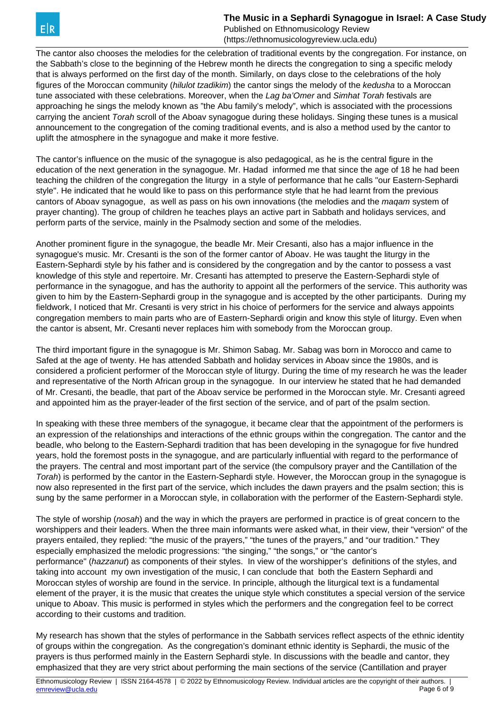Published on Ethnomusicology Review (https://ethnomusicologyreview.ucla.edu)

The cantor also chooses the melodies for the celebration of traditional events by the congregation. For instance, on the Sabbath's close to the beginning of the Hebrew month he directs the congregation to sing a specific melody that is always performed on the first day of the month. Similarly, on days close to the celebrations of the holy figures of the Moroccan community (hilulot tzadikim) the cantor sings the melody of the kedusha to a Moroccan tune associated with these celebrations. Moreover, when the Lag ba'Omer and Simhat Torah festivals are approaching he sings the melody known as "the Abu family's melody", which is associated with the processions carrying the ancient Torah scroll of the Aboay synagogue during these holidays. Singing these tunes is a musical announcement to the congregation of the coming traditional events, and is also a method used by the cantor to uplift the atmosphere in the synagogue and make it more festive.

The cantor's influence on the music of the synagogue is also pedagogical, as he is the central figure in the education of the next generation in the synagogue. Mr. Hadad informed me that since the age of 18 he had been teaching the children of the congregation the liturgy in a style of performance that he calls "our Eastern-Sephardi style". He indicated that he would like to pass on this performance style that he had learnt from the previous cantors of Aboav synagogue, as well as pass on his own innovations (the melodies and the magam system of prayer chanting). The group of children he teaches plays an active part in Sabbath and holidays services, and perform parts of the service, mainly in the Psalmody section and some of the melodies.

Another prominent figure in the synagogue, the beadle Mr. Meir Cresanti, also has a major influence in the synagogue's music. Mr. Cresanti is the son of the former cantor of Aboav. He was taught the liturgy in the Eastern-Sephardi style by his father and is considered by the congregation and by the cantor to possess a vast knowledge of this style and repertoire. Mr. Cresanti has attempted to preserve the Eastern-Sephardi style of performance in the synagogue, and has the authority to appoint all the performers of the service. This authority was given to him by the Eastern-Sephardi group in the synagogue and is accepted by the other participants. During my fieldwork, I noticed that Mr. Cresanti is very strict in his choice of performers for the service and always appoints congregation members to main parts who are of Eastern-Sephardi origin and know this style of liturgy. Even when the cantor is absent, Mr. Cresanti never replaces him with somebody from the Moroccan group.

The third important figure in the synagogue is Mr. Shimon Sabag. Mr. Sabag was born in Morocco and came to Safed at the age of twenty. He has attended Sabbath and holiday services in Aboav since the 1980s, and is considered a proficient performer of the Moroccan style of liturgy. During the time of my research he was the leader and representative of the North African group in the synagogue. In our interview he stated that he had demanded of Mr. Cresanti, the beadle, that part of the Aboav service be performed in the Moroccan style. Mr. Cresanti agreed and appointed him as the prayer-leader of the first section of the service, and of part of the psalm section.

In speaking with these three members of the synagogue, it became clear that the appointment of the performers is an expression of the relationships and interactions of the ethnic groups within the congregation. The cantor and the beadle, who belong to the Eastern-Sephardi tradition that has been developing in the synagogue for five hundred years, hold the foremost posts in the synagogue, and are particularly influential with regard to the performance of the prayers. The central and most important part of the service (the compulsory prayer and the Cantillation of the Torah) is performed by the cantor in the Eastern-Sephardi style. However, the Moroccan group in the synagogue is now also represented in the first part of the service, which includes the dawn prayers and the psalm section; this is sung by the same performer in a Moroccan style, in collaboration with the performer of the Eastern-Sephardi style.

The style of worship (nosah) and the way in which the prayers are performed in practice is of great concern to the worshippers and their leaders. When the three main informants were asked what, in their view, their "version" of the prayers entailed, they replied: "the music of the prayers," "the tunes of the prayers," and "our tradition." They especially emphasized the melodic progressions: "the singing," "the songs," or "the cantor's performance" (hazzanut) as components of their styles. In view of the worshipper's definitions of the styles, and taking into account my own investigation of the music, I can conclude that both the Eastern Sephardi and Moroccan styles of worship are found in the service. In principle, although the liturgical text is a fundamental element of the prayer, it is the music that creates the unique style which constitutes a special version of the service unique to Aboav. This music is performed in styles which the performers and the congregation feel to be correct according to their customs and tradition.

My research has shown that the styles of performance in the Sabbath services reflect aspects of the ethnic identity of groups within the congregation. As the congregation's dominant ethnic identity is Sephardi, the music of the prayers is thus performed mainly in the Eastern Sephardi style. In discussions with the beadle and cantor, they emphasized that they are very strict about performing the main sections of the service (Cantillation and prayer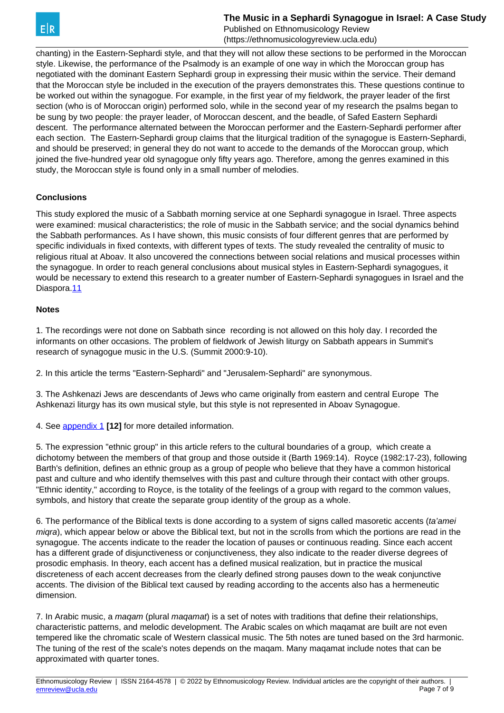Published on Ethnomusicology Review (https://ethnomusicologyreview.ucla.edu)

<span id="page-6-0"></span>chanting) in the Eastern-Sephardi style, and that they will not allow these sections to be performed in the Moroccan style. Likewise, the performance of the Psalmody is an example of one way in which the Moroccan group has negotiated with the dominant Eastern Sephardi group in expressing their music within the service. Their demand that the Moroccan style be included in the execution of the prayers demonstrates this. These questions continue to be worked out within the synagogue. For example, in the first year of my fieldwork, the prayer leader of the first section (who is of Moroccan origin) performed solo, while in the second year of my research the psalms began to be sung by two people: the prayer leader, of Moroccan descent, and the beadle, of Safed Eastern Sephardi descent. The performance alternated between the Moroccan performer and the Eastern-Sephardi performer after each section. The Eastern-Sephardi group claims that the liturgical tradition of the synagogue is Eastern-Sephardi, and should be preserved; in general they do not want to accede to the demands of the Moroccan group, which joined the five-hundred year old synagogue only fifty years ago. Therefore, among the genres examined in this study, the Moroccan style is found only in a small number of melodies.

## **Conclusions**

This study explored the music of a Sabbath morning service at one Sephardi synagogue in Israel. Three aspects were examined: musical characteristics; the role of music in the Sabbath service; and the social dynamics behind the Sabbath performances. As I have shown, this music consists of four different genres that are performed by specific individuals in fixed contexts, with different types of texts. The study revealed the centrality of music to religious ritual at Aboav. It also uncovered the connections between social relations and musical processes within the synagogue. In order to reach general conclusions about musical styles in Eastern-Sephardi synagogues, it would be necessary to extend this research to a greater number of Eastern-Sephardi synagogues in Israel and the Diaspora[.11](#page-6-0)

## **Notes**

1. The recordings were not done on Sabbath since recording is not allowed on this holy day. I recorded the informants on other occasions. The problem of fieldwork of Jewish liturgy on Sabbath appears in Summit's research of synagogue music in the U.S. (Summit 2000:9-10).

2. In this article the terms "Eastern-Sephardi" and "Jerusalem-Sephardi" are synonymous.

3. The Ashkenazi Jews are descendants of Jews who came originally from eastern and central Europe The Ashkenazi liturgy has its own musical style, but this style is not represented in Aboav Synagogue.

4. See [appendix 1](https://ethnomusicologyreview.ucla.edu/V12MarksAPPENDIX1.html) **[12]** for more detailed information.

5. The expression "ethnic group" in this article refers to the cultural boundaries of a group, which create a dichotomy between the members of that group and those outside it (Barth 1969:14). Royce (1982:17-23), following Barth's definition, defines an ethnic group as a group of people who believe that they have a common historical past and culture and who identify themselves with this past and culture through their contact with other groups. "Ethnic identity," according to Royce, is the totality of the feelings of a group with regard to the common values, symbols, and history that create the separate group identity of the group as a whole.

6. The performance of the Biblical texts is done according to a system of signs called masoretic accents (ta'amei migra), which appear below or above the Biblical text, but not in the scrolls from which the portions are read in the synagogue. The accents indicate to the reader the location of pauses or continuous reading. Since each accent has a different grade of disjunctiveness or conjunctiveness, they also indicate to the reader diverse degrees of prosodic emphasis. In theory, each accent has a defined musical realization, but in practice the musical discreteness of each accent decreases from the clearly defined strong pauses down to the weak conjunctive accents. The division of the Biblical text caused by reading according to the accents also has a hermeneutic dimension.

7. In Arabic music, a magam (plural magamat) is a set of notes with traditions that define their relationships, characteristic patterns, and melodic development. The Arabic scales on which maqamat are built are not even tempered like the chromatic scale of Western classical music. The 5th notes are tuned based on the 3rd harmonic. The tuning of the rest of the scale's notes depends on the maqam. Many maqamat include notes that can be approximated with quarter tones.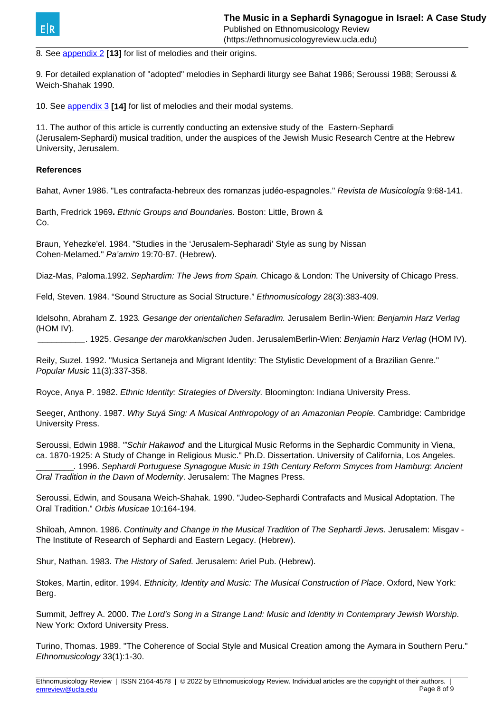

8. See [appendix 2](https://ethnomusicologyreview.ucla.edu/V12MarksAPPENDIX2.html) **[13]** for list of melodies and their origins.

9. For detailed explanation of "adopted" melodies in Sephardi liturgy see Bahat 1986; Seroussi 1988; Seroussi & Weich-Shahak 1990.

10. See [appendix 3](https://ethnomusicologyreview.ucla.edu/V12MarksAPPENDIX3.html) **[14]** for list of melodies and their modal systems.

11. The author of this article is currently conducting an extensive study of the Eastern-Sephardi (Jerusalem-Sephardi) musical tradition, under the auspices of the Jewish Music Research Centre at the Hebrew University, Jerusalem.

### **References**

Bahat, Avner 1986. "Les contrafacta-hebreux des romanzas judéo-espagnoles." Revista de Musicología 9:68-141.

Barth, Fredrick 1969**.** Ethnic Groups and Boundaries. Boston: Little, Brown & Co.

Braun, Yehezke'el. 1984. "Studies in the 'Jerusalem-Sepharadi' Style as sung by Nissan Cohen-Melamed." Pa'amim 19:70-87. (Hebrew).

Diaz-Mas, Paloma.1992. Sephardim: The Jews from Spain. Chicago & London: The University of Chicago Press.

Feld, Steven. 1984. "Sound Structure as Social Structure." Ethnomusicology 28(3):383-409.

Idelsohn, Abraham Z. 1923. Gesange der orientalichen Sefaradim. Jerusalem Berlin-Wien: Benjamin Harz Verlag (HOM IV).

\_\_\_\_\_\_\_\_\_\_. 1925. Gesange der marokkanischen Juden. JerusalemBerlin-Wien: Benjamin Harz Verlag (HOM IV).

Reily, Suzel. 1992. "Musica Sertaneja and Migrant Identity: The Stylistic Development of a Brazilian Genre." Popular Music 11(3):337-358.

Royce, Anya P. 1982. Ethnic Identity: Strategies of Diversity. Bloomington: Indiana University Press.

Seeger, Anthony. 1987. Why Suyá Sing: A Musical Anthropology of an Amazonian People. Cambridge: Cambridge University Press.

Seroussi, Edwin 1988. "Schir Hakawod' and the Liturgical Music Reforms in the Sephardic Community in Viena, ca. 1870-1925: A Study of Change in Religious Music." Ph.D. Dissertation. University of California, Los Angeles.

\_\_\_\_\_\_\_\_. 1996. Sephardi Portuguese Synagogue Music in 19th Century Reform Smyces from Hamburg: Ancient Oral Tradition in the Dawn of Modernity. Jerusalem: The Magnes Press.

Seroussi, Edwin, and Sousana Weich-Shahak. 1990. "Judeo-Sephardi Contrafacts and Musical Adoptation. The Oral Tradition." Orbis Musicae 10:164-194.

Shiloah, Amnon. 1986. Continuity and Change in the Musical Tradition of The Sephardi Jews. Jerusalem: Misgav - The Institute of Research of Sephardi and Eastern Legacy. (Hebrew).

Shur, Nathan. 1983. The History of Safed. Jerusalem: Ariel Pub. (Hebrew).

Stokes, Martin, editor. 1994. Ethnicity, Identity and Music: The Musical Construction of Place. Oxford, New York: Berg.

Summit, Jeffrey A. 2000. The Lord's Song in a Strange Land: Music and Identity in Contemprary Jewish Worship. New York: Oxford University Press.

Turino, Thomas. 1989. "The Coherence of Social Style and Musical Creation among the Aymara in Southern Peru." Ethnomusicology 33(1):1-30.